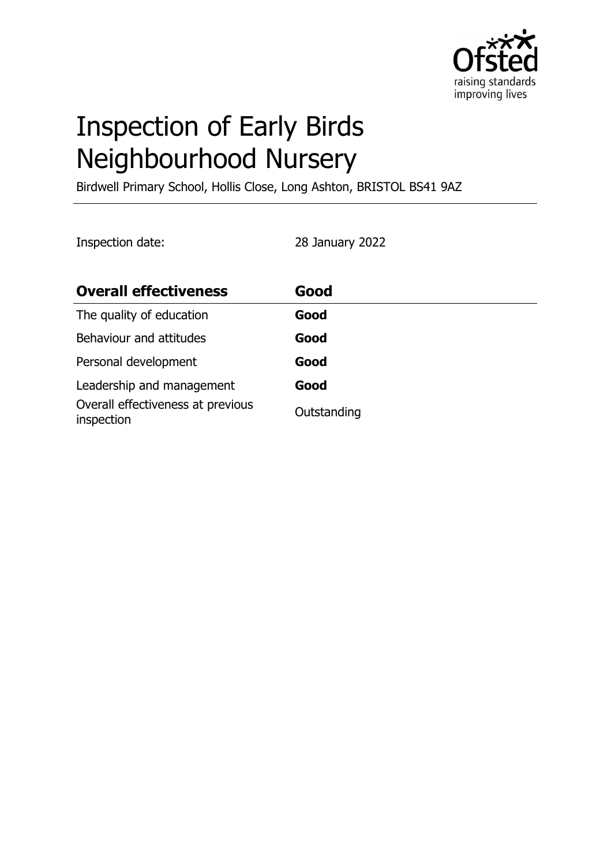

# Inspection of Early Birds Neighbourhood Nursery

Birdwell Primary School, Hollis Close, Long Ashton, BRISTOL BS41 9AZ

Inspection date: 28 January 2022

| <b>Overall effectiveness</b>                    | Good        |
|-------------------------------------------------|-------------|
| The quality of education                        | Good        |
| Behaviour and attitudes                         | Good        |
| Personal development                            | Good        |
| Leadership and management                       | Good        |
| Overall effectiveness at previous<br>inspection | Outstanding |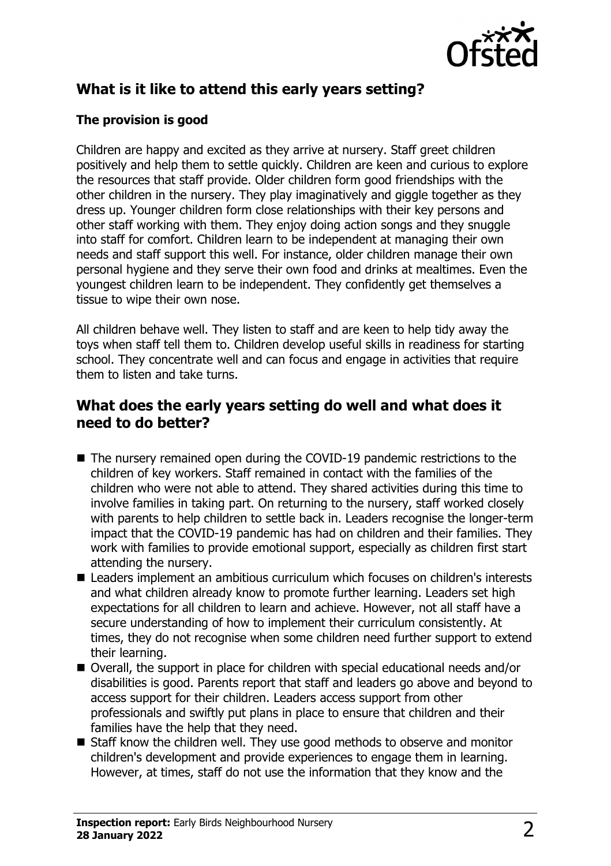

# **What is it like to attend this early years setting?**

#### **The provision is good**

Children are happy and excited as they arrive at nursery. Staff greet children positively and help them to settle quickly. Children are keen and curious to explore the resources that staff provide. Older children form good friendships with the other children in the nursery. They play imaginatively and giggle together as they dress up. Younger children form close relationships with their key persons and other staff working with them. They enjoy doing action songs and they snuggle into staff for comfort. Children learn to be independent at managing their own needs and staff support this well. For instance, older children manage their own personal hygiene and they serve their own food and drinks at mealtimes. Even the youngest children learn to be independent. They confidently get themselves a tissue to wipe their own nose.

All children behave well. They listen to staff and are keen to help tidy away the toys when staff tell them to. Children develop useful skills in readiness for starting school. They concentrate well and can focus and engage in activities that require them to listen and take turns.

#### **What does the early years setting do well and what does it need to do better?**

- $\blacksquare$  The nursery remained open during the COVID-19 pandemic restrictions to the children of key workers. Staff remained in contact with the families of the children who were not able to attend. They shared activities during this time to involve families in taking part. On returning to the nursery, staff worked closely with parents to help children to settle back in. Leaders recognise the longer-term impact that the COVID-19 pandemic has had on children and their families. They work with families to provide emotional support, especially as children first start attending the nursery.
- Leaders implement an ambitious curriculum which focuses on children's interests and what children already know to promote further learning. Leaders set high expectations for all children to learn and achieve. However, not all staff have a secure understanding of how to implement their curriculum consistently. At times, they do not recognise when some children need further support to extend their learning.
- Overall, the support in place for children with special educational needs and/or disabilities is good. Parents report that staff and leaders go above and beyond to access support for their children. Leaders access support from other professionals and swiftly put plans in place to ensure that children and their families have the help that they need.
- $\blacksquare$  Staff know the children well. They use good methods to observe and monitor children's development and provide experiences to engage them in learning. However, at times, staff do not use the information that they know and the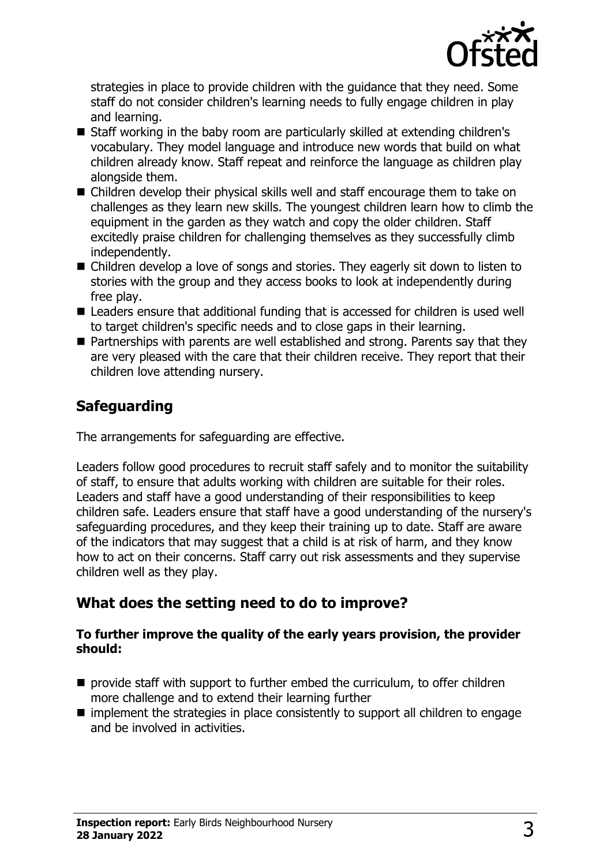

strategies in place to provide children with the guidance that they need. Some staff do not consider children's learning needs to fully engage children in play and learning.

- Staff working in the baby room are particularly skilled at extending children's vocabulary. They model language and introduce new words that build on what children already know. Staff repeat and reinforce the language as children play alongside them.
- $\blacksquare$  Children develop their physical skills well and staff encourage them to take on challenges as they learn new skills. The youngest children learn how to climb the equipment in the garden as they watch and copy the older children. Staff excitedly praise children for challenging themselves as they successfully climb independently.
- $\blacksquare$  Children develop a love of songs and stories. They eagerly sit down to listen to stories with the group and they access books to look at independently during free play.
- Leaders ensure that additional funding that is accessed for children is used well to target children's specific needs and to close gaps in their learning.
- $\blacksquare$  Partnerships with parents are well established and strong. Parents say that they are very pleased with the care that their children receive. They report that their children love attending nursery.

# **Safeguarding**

The arrangements for safeguarding are effective.

Leaders follow good procedures to recruit staff safely and to monitor the suitability of staff, to ensure that adults working with children are suitable for their roles. Leaders and staff have a good understanding of their responsibilities to keep children safe. Leaders ensure that staff have a good understanding of the nursery's safeguarding procedures, and they keep their training up to date. Staff are aware of the indicators that may suggest that a child is at risk of harm, and they know how to act on their concerns. Staff carry out risk assessments and they supervise children well as they play.

## **What does the setting need to do to improve?**

#### **To further improve the quality of the early years provision, the provider should:**

- $\blacksquare$  provide staff with support to further embed the curriculum, to offer children more challenge and to extend their learning further
- $\blacksquare$  implement the strategies in place consistently to support all children to engage and be involved in activities.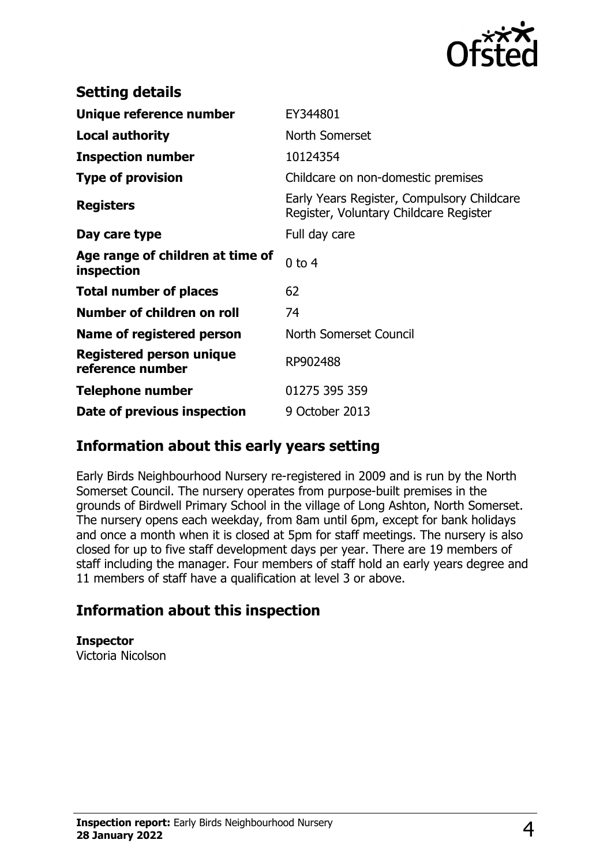

| <b>Setting details</b>                              |                                                                                      |
|-----------------------------------------------------|--------------------------------------------------------------------------------------|
| Unique reference number                             | EY344801                                                                             |
| <b>Local authority</b>                              | North Somerset                                                                       |
| <b>Inspection number</b>                            | 10124354                                                                             |
| <b>Type of provision</b>                            | Childcare on non-domestic premises                                                   |
| <b>Registers</b>                                    | Early Years Register, Compulsory Childcare<br>Register, Voluntary Childcare Register |
| Day care type                                       | Full day care                                                                        |
| Age range of children at time of<br>inspection      | $0$ to 4                                                                             |
| <b>Total number of places</b>                       | 62                                                                                   |
| Number of children on roll                          | 74                                                                                   |
| Name of registered person                           | North Somerset Council                                                               |
| <b>Registered person unique</b><br>reference number | RP902488                                                                             |
| <b>Telephone number</b>                             | 01275 395 359                                                                        |
| Date of previous inspection                         | 9 October 2013                                                                       |

### **Information about this early years setting**

Early Birds Neighbourhood Nursery re-registered in 2009 and is run by the North Somerset Council. The nursery operates from purpose-built premises in the grounds of Birdwell Primary School in the village of Long Ashton, North Somerset. The nursery opens each weekday, from 8am until 6pm, except for bank holidays and once a month when it is closed at 5pm for staff meetings. The nursery is also closed for up to five staff development days per year. There are 19 members of staff including the manager. Four members of staff hold an early years degree and 11 members of staff have a qualification at level 3 or above.

## **Information about this inspection**

**Inspector** Victoria Nicolson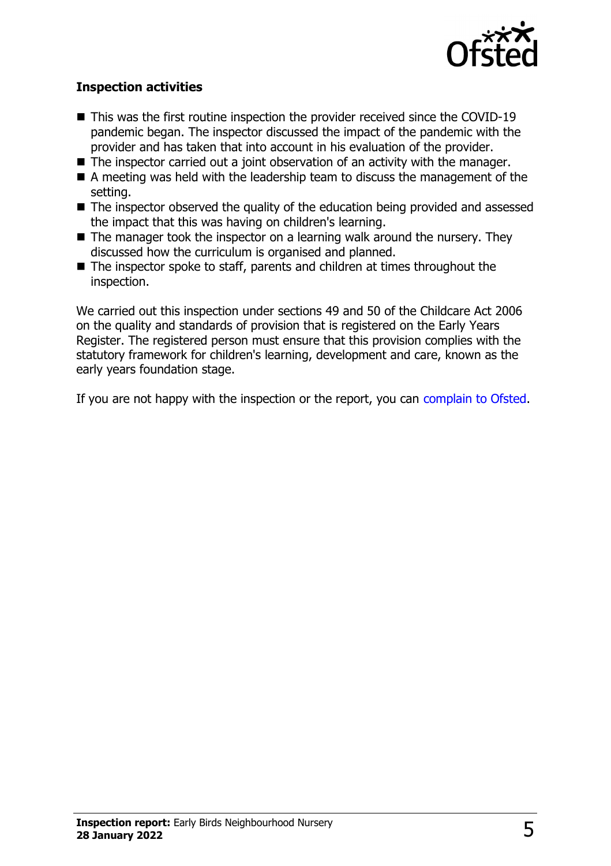

#### **Inspection activities**

- $\blacksquare$  This was the first routine inspection the provider received since the COVID-19 pandemic began. The inspector discussed the impact of the pandemic with the provider and has taken that into account in his evaluation of the provider.
- $\blacksquare$  The inspector carried out a joint observation of an activity with the manager.
- $\blacksquare$  A meeting was held with the leadership team to discuss the management of the setting.
- $\blacksquare$  The inspector observed the quality of the education being provided and assessed the impact that this was having on children's learning.
- $\blacksquare$  The manager took the inspector on a learning walk around the nursery. They discussed how the curriculum is organised and planned.
- $\blacksquare$  The inspector spoke to staff, parents and children at times throughout the inspection.

We carried out this inspection under sections 49 and 50 of the Childcare Act 2006 on the quality and standards of provision that is registered on the Early Years Register. The registered person must ensure that this provision complies with the statutory framework for children's learning, development and care, known as the early years foundation stage.

If you are not happy with the inspection or the report, you can [complain to Ofsted](http://www.gov.uk/complain-ofsted-report).